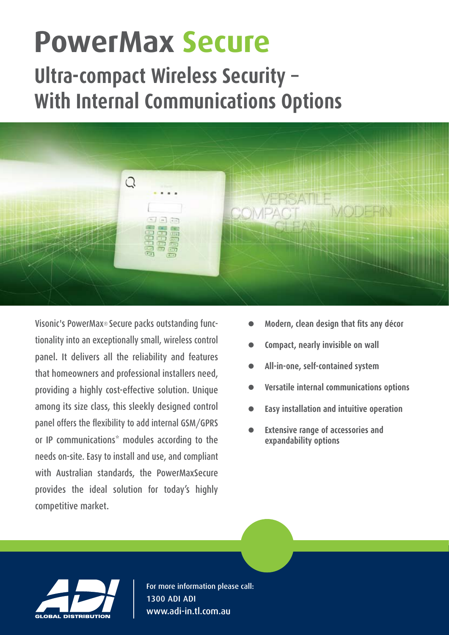# **PowerMax Secure**

# **Ultra-compact Wireless Security -With Internal Communications Options**



tionality into an exceptionally small, wireless control Visonic's PowerMax® Secure packs outstanding funcpanel. It delivers all the reliability and features that homeowners and professional installers need, providing a highly cost-effective solution. Unique among its size class, this sleekly designed control panel offers the flexibility to add internal GSM/GPRS or IP communications<sup>\*</sup> modules according to the needs on-site. Easy to install and use, and compliant with Australian standards, the PowerMaxSecure provides the ideal solution for today's highly competitive market.

- **Modern, clean design that fits any décor**
- **Compact, nearly invisible on wall**
- All-in-one, self-contained system
- **Versatile** internal communications options
- **Easy installation and intuitive operation**
- **Extensive range of accessories and** expandability options